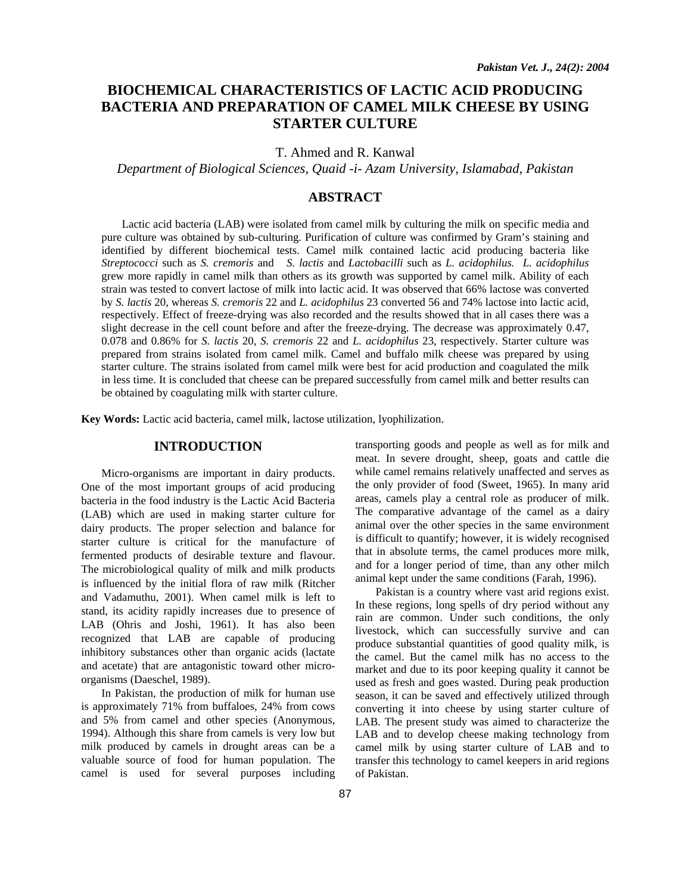# **BIOCHEMICAL CHARACTERISTICS OF LACTIC ACID PRODUCING BACTERIA AND PREPARATION OF CAMEL MILK CHEESE BY USING STARTER CULTURE**

T. Ahmed and R. Kanwal

*Department of Biological Sciences, Quaid -i- Azam University, Islamabad, Pakistan* 

### **ABSTRACT**

 Lactic acid bacteria (LAB) were isolated from camel milk by culturing the milk on specific media and pure culture was obtained by sub-culturing. Purification of culture was confirmed by Gram's staining and identified by different biochemical tests. Camel milk contained lactic acid producing bacteria like *Streptococci* such as *S. cremoris* and *S. lactis* and *Lactobacilli* such as *L. acidophilus. L. acidophilus* grew more rapidly in camel milk than others as its growth was supported by camel milk. Ability of each strain was tested to convert lactose of milk into lactic acid. It was observed that 66% lactose was converted by *S. lactis* 20, whereas *S. cremoris* 22 and *L. acidophilus* 23 converted 56 and 74% lactose into lactic acid, respectively. Effect of freeze-drying was also recorded and the results showed that in all cases there was a slight decrease in the cell count before and after the freeze-drying. The decrease was approximately 0.47, 0.078 and 0.86% for *S. lactis* 20, *S. cremoris* 22 and *L. acidophilus* 23, respectively. Starter culture was prepared from strains isolated from camel milk. Camel and buffalo milk cheese was prepared by using starter culture. The strains isolated from camel milk were best for acid production and coagulated the milk in less time. It is concluded that cheese can be prepared successfully from camel milk and better results can be obtained by coagulating milk with starter culture.

**Key Words:** Lactic acid bacteria, camel milk, lactose utilization, lyophilization.

### **INTRODUCTION**

Micro-organisms are important in dairy products. One of the most important groups of acid producing bacteria in the food industry is the Lactic Acid Bacteria (LAB) which are used in making starter culture for dairy products. The proper selection and balance for starter culture is critical for the manufacture of fermented products of desirable texture and flavour. The microbiological quality of milk and milk products is influenced by the initial flora of raw milk (Ritcher and Vadamuthu, 2001). When camel milk is left to stand, its acidity rapidly increases due to presence of LAB (Ohris and Joshi, 1961). It has also been recognized that LAB are capable of producing inhibitory substances other than organic acids (lactate and acetate) that are antagonistic toward other microorganisms (Daeschel, 1989).

In Pakistan, the production of milk for human use is approximately 71% from buffaloes, 24% from cows and 5% from camel and other species (Anonymous, 1994). Although this share from camels is very low but milk produced by camels in drought areas can be a valuable source of food for human population. The camel is used for several purposes including

transporting goods and people as well as for milk and meat. In severe drought, sheep, goats and cattle die while camel remains relatively unaffected and serves as the only provider of food (Sweet, 1965). In many arid areas, camels play a central role as producer of milk. The comparative advantage of the camel as a dairy animal over the other species in the same environment is difficult to quantify; however, it is widely recognised that in absolute terms, the camel produces more milk, and for a longer period of time, than any other milch animal kept under the same conditions (Farah, 1996).

Pakistan is a country where vast arid regions exist. In these regions, long spells of dry period without any rain are common. Under such conditions, the only livestock, which can successfully survive and can produce substantial quantities of good quality milk, is the camel. But the camel milk has no access to the market and due to its poor keeping quality it cannot be used as fresh and goes wasted. During peak production season, it can be saved and effectively utilized through converting it into cheese by using starter culture of LAB. The present study was aimed to characterize the LAB and to develop cheese making technology from camel milk by using starter culture of LAB and to transfer this technology to camel keepers in arid regions of Pakistan.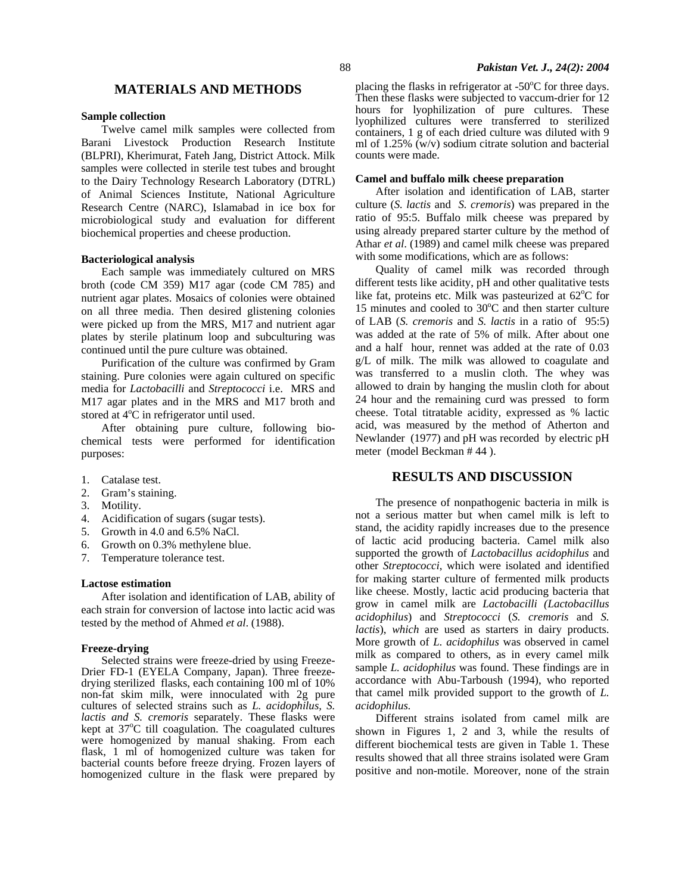### **MATERIALS AND METHODS**

#### **Sample collection**

Twelve camel milk samples were collected from Barani Livestock Production Research Institute (BLPRI), Kherimurat, Fateh Jang, District Attock. Milk samples were collected in sterile test tubes and brought to the Dairy Technology Research Laboratory (DTRL) of Animal Sciences Institute, National Agriculture Research Centre (NARC), Islamabad in ice box for microbiological study and evaluation for different biochemical properties and cheese production.

### **Bacteriological analysis**

Each sample was immediately cultured on MRS broth (code CM 359) M17 agar (code CM 785) and nutrient agar plates. Mosaics of colonies were obtained on all three media. Then desired glistening colonies were picked up from the MRS, M17 and nutrient agar plates by sterile platinum loop and subculturing was continued until the pure culture was obtained.

Purification of the culture was confirmed by Gram staining. Pure colonies were again cultured on specific media for *Lactobacilli* and *Streptococci* i.e. MRS and M17 agar plates and in the MRS and M17 broth and stored at  $4^{\circ}C$  in refrigerator until used.

After obtaining pure culture, following biochemical tests were performed for identification purposes:

- 1. Catalase test.
- 2. Gram's staining.
- 3. Motility.
- 4. Acidification of sugars (sugar tests).
- 5. Growth in 4.0 and 6.5% NaCl.
- 6. Growth on 0.3% methylene blue.
- 7. Temperature tolerance test.

#### **Lactose estimation**

After isolation and identification of LAB, ability of each strain for conversion of lactose into lactic acid was tested by the method of Ahmed *et al*. (1988).

#### **Freeze-drying**

Selected strains were freeze-dried by using Freeze-Drier FD-1 (EYELA Company, Japan). Three freezedrying sterilized flasks, each containing 100 ml of 10% non-fat skim milk, were innoculated with 2g pure cultures of selected strains such as *L. acidophilus, S. lactis and S. cremoris* separately. These flasks were kept at 37<sup>o</sup>C till coagulation. The coagulated cultures were homogenized by manual shaking. From each flask, 1 ml of homogenized culture was taken for bacterial counts before freeze drying. Frozen layers of homogenized culture in the flask were prepared by

placing the flasks in refrigerator at  $-50^{\circ}$ C for three days. Then these flasks were subjected to vaccum-drier for 12 hours for lyophilization of pure cultures. These lyophilized cultures were transferred to sterilized containers, 1 g of each dried culture was diluted with 9 ml of 1.25%  $\overline{w/v}$  sodium citrate solution and bacterial counts were made.

#### **Camel and buffalo milk cheese preparation**

After isolation and identification of LAB, starter culture (*S. lactis* and *S. cremoris*) was prepared in the ratio of 95:5. Buffalo milk cheese was prepared by using already prepared starter culture by the method of Athar *et al*. (1989) and camel milk cheese was prepared with some modifications, which are as follows:

Quality of camel milk was recorded through different tests like acidity, pH and other qualitative tests like fat, proteins etc. Milk was pasteurized at  $62^{\circ}$ C for 15 minutes and cooled to  $30^{\circ}$ C and then starter culture of LAB (*S. cremoris* and *S. lactis* in a ratio of 95:5) was added at the rate of 5% of milk. After about one and a half hour, rennet was added at the rate of 0.03 g/L of milk. The milk was allowed to coagulate and was transferred to a muslin cloth. The whey was allowed to drain by hanging the muslin cloth for about 24 hour and the remaining curd was pressed to form cheese. Total titratable acidity, expressed as % lactic acid, was measured by the method of Atherton and Newlander (1977) and pH was recorded by electric pH meter (model Beckman # 44 ).

### **RESULTS AND DISCUSSION**

The presence of nonpathogenic bacteria in milk is not a serious matter but when camel milk is left to stand, the acidity rapidly increases due to the presence of lactic acid producing bacteria. Camel milk also supported the growth of *Lactobacillus acidophilus* and other *Streptococci*, which were isolated and identified for making starter culture of fermented milk products like cheese. Mostly, lactic acid producing bacteria that grow in camel milk are *Lactobacilli (Lactobacillus acidophilus*) and *Streptococci* (*S. cremoris* and *S. lactis*), *which* are used as starters in dairy products. More growth of *L. acidophilus* was observed in camel milk as compared to others, as in every camel milk sample *L. acidophilus* was found. These findings are in accordance with Abu-Tarboush (1994), who reported that camel milk provided support to the growth of *L. acidophilus.* 

Different strains isolated from camel milk are shown in Figures 1, 2 and 3, while the results of different biochemical tests are given in Table 1. These results showed that all three strains isolated were Gram positive and non-motile. Moreover, none of the strain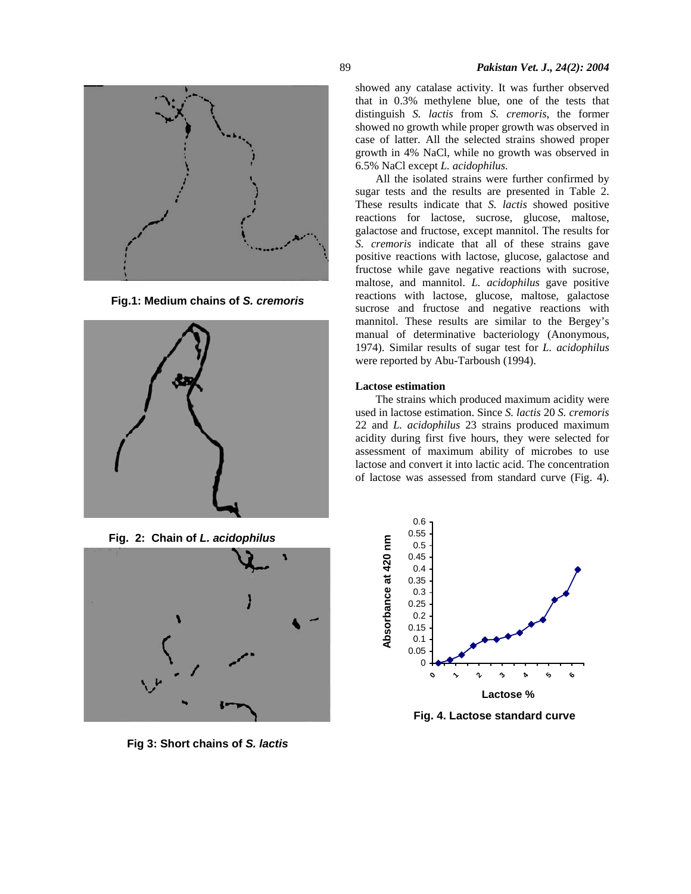

**Fig.1: Medium chains of** *S. cremoris*



 **Fig. 2: Chain of** *L. acidophilus* 



**Fig 3: Short chains of** *S. lactis* 

showed any catalase activity. It was further observed that in 0.3% methylene blue, one of the tests that distinguish *S. lactis* from *S. cremoris*, the former showed no growth while proper growth was observed in case of latter. All the selected strains showed proper growth in 4% NaCl, while no growth was observed in 6.5% NaCl except *L. acidophilus.* 

All the isolated strains were further confirmed by sugar tests and the results are presented in Table 2. These results indicate that *S. lactis* showed positive reactions for lactose, sucrose, glucose, maltose, galactose and fructose, except mannitol. The results for *S. cremoris* indicate that all of these strains gave positive reactions with lactose, glucose, galactose and fructose while gave negative reactions with sucrose, maltose, and mannitol. *L. acidophilus* gave positive reactions with lactose, glucose, maltose, galactose sucrose and fructose and negative reactions with mannitol. These results are similar to the Bergey's manual of determinative bacteriology (Anonymous, 1974). Similar results of sugar test for *L. acidophilus*  were reported by Abu-Tarboush (1994).

#### **Lactose estimation**

The strains which produced maximum acidity were used in lactose estimation. Since *S. lactis* 20 *S. cremoris* 22 and *L. acidophilus* 23 strains produced maximum acidity during first five hours, they were selected for assessment of maximum ability of microbes to use lactose and convert it into lactic acid. The concentration of lactose was assessed from standard curve (Fig. 4).



 **Fig. 4. Lactose standard curve**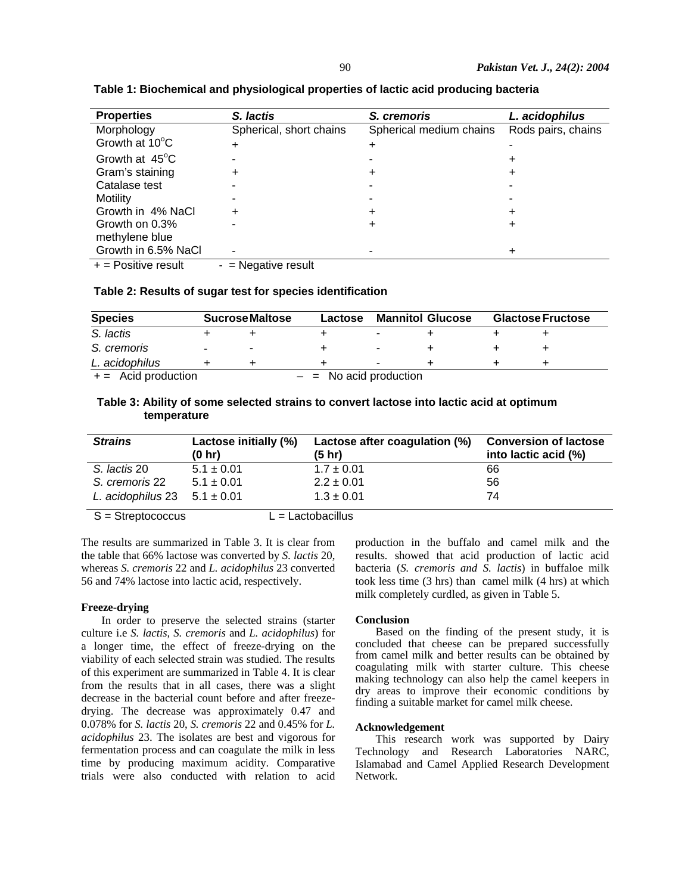| <b>Properties</b>        | S. lactis               | S. cremoris             | L. acidophilus     |
|--------------------------|-------------------------|-------------------------|--------------------|
| Morphology               | Spherical, short chains | Spherical medium chains | Rods pairs, chains |
| Growth at 10°C           |                         | ÷                       |                    |
| Growth at $45^{\circ}$ C |                         |                         |                    |
| Gram's staining          |                         | ÷                       |                    |
| Catalase test            |                         |                         |                    |
| <b>Motility</b>          |                         |                         |                    |
| Growth in 4% NaCl        | ÷                       | ÷                       |                    |
| Growth on 0.3%           |                         | +                       |                    |
| methylene blue           |                         |                         |                    |
| Growth in 6.5% NaCl      |                         |                         |                    |
|                          | $\blacksquare$          |                         |                    |

**Table 1: Biochemical and physiological properties of lactic acid producing bacteria** 

 $+$  = Positive result  $-$  = Negative result

### **Table 2: Results of sugar test for species identification**

| <b>Species</b>       |                          | <b>Sucrose Maltose</b> | Lactose                  | <b>Mannitol Glucose</b> | <b>Glactose Fructose</b> |
|----------------------|--------------------------|------------------------|--------------------------|-------------------------|--------------------------|
| S. lactis            |                          |                        |                          |                         |                          |
| S. cremoris          | $\overline{\phantom{a}}$ |                        |                          |                         |                          |
| L. acidophilus       |                          |                        |                          |                         |                          |
| $+=$ Acid production |                          |                        | $-$ = No acid production |                         |                          |

### **Table 3: Ability of some selected strains to convert lactose into lactic acid at optimum temperature**

| <b>Strains</b>                                                                                                                                                                                                                                                                                                                                                                    | Lactose initially (%)<br>(0 h r) | Lactose after coagulation (%)<br>(5 hr)                                                                                                                                                                                       | <b>Conversion of lactose</b><br>into lactic acid (%) |
|-----------------------------------------------------------------------------------------------------------------------------------------------------------------------------------------------------------------------------------------------------------------------------------------------------------------------------------------------------------------------------------|----------------------------------|-------------------------------------------------------------------------------------------------------------------------------------------------------------------------------------------------------------------------------|------------------------------------------------------|
| S. lactis 20                                                                                                                                                                                                                                                                                                                                                                      | $5.1 \pm 0.01$                   | $1.7 \pm 0.01$                                                                                                                                                                                                                | 66                                                   |
| S. cremoris 22                                                                                                                                                                                                                                                                                                                                                                    | $5.1 \pm 0.01$                   | $2.2 \pm 0.01$                                                                                                                                                                                                                | 56                                                   |
| L. acidophilus 23 $5.1 \pm 0.01$                                                                                                                                                                                                                                                                                                                                                  |                                  | $1.3 \pm 0.01$                                                                                                                                                                                                                | 74                                                   |
| $\bigcap$ $\bigcap$ $\bigcap$ $\bigcap$ $\bigcap$ $\bigcap$ $\bigcap$ $\bigcap$ $\bigcap$ $\bigcap$ $\bigcap$ $\bigcap$ $\bigcap$ $\bigcap$ $\bigcap$ $\bigcap$ $\bigcap$ $\bigcap$ $\bigcap$ $\bigcap$ $\bigcap$ $\bigcap$ $\bigcap$ $\bigcap$ $\bigcap$ $\bigcap$ $\bigcap$ $\bigcap$ $\bigcap$ $\bigcap$ $\bigcap$ $\bigcap$ $\bigcap$ $\bigcap$ $\bigcap$ $\bigcap$ $\bigcap$ |                                  | the control of the control of the control of the control of the control of the control of the control of the control of the control of the control of the control of the control of the control of the control of the control |                                                      |

 $S =$ Streptococcus L = Lactobacillus

The results are summarized in Table 3. It is clear from the table that 66% lactose was converted by *S. lactis* 20, whereas *S. cremoris* 22 and *L. acidophilus* 23 converted 56 and 74% lactose into lactic acid, respectively.

#### **Freeze-drying**

In order to preserve the selected strains (starter culture i.e *S. lactis, S. cremoris* and *L. acidophilus*) for a longer time, the effect of freeze-drying on the viability of each selected strain was studied. The results of this experiment are summarized in Table 4. It is clear from the results that in all cases, there was a slight decrease in the bacterial count before and after freezedrying. The decrease was approximately 0.47 and 0.078% for *S. lactis* 20, *S. cremoris* 22 and 0.45% for *L. acidophilus* 23. The isolates are best and vigorous for fermentation process and can coagulate the milk in less time by producing maximum acidity. Comparative trials were also conducted with relation to acid

production in the buffalo and camel milk and the results*.* showed that acid production of lactic acid bacteria (*S. cremoris and S. lactis*) in buffaloe milk took less time (3 hrs) than camel milk (4 hrs) at which milk completely curdled, as given in Table 5.

### **Conclusion**

Based on the finding of the present study, it is concluded that cheese can be prepared successfully from camel milk and better results can be obtained by coagulating milk with starter culture. This cheese making technology can also help the camel keepers in dry areas to improve their economic conditions by finding a suitable market for camel milk cheese.

#### **Acknowledgement**

This research work was supported by Dairy Technology and Research Laboratories NARC, Islamabad and Camel Applied Research Development Network.